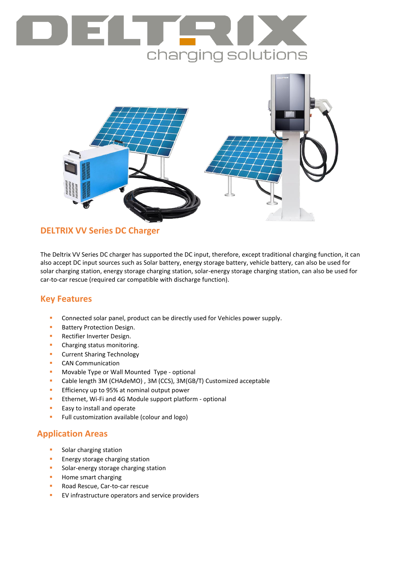# charging solutions



## **DELTRIX VV Series DC Charger**

The Deltrix VV Series DC charger has supported the DC input, therefore, except traditional charging function, it can also accept DC input sources such as Solar battery, energy storage battery, vehicle battery, can also be used for solar charging station, energy storage charging station, solar-energy storage charging station, can also be used for car-to-car rescue (required car compatible with discharge function).

### **Key Features**

- Connected solar panel, product can be directly used for Vehicles power supply.
- **Battery Protection Design.**
- **Rectifier Inverter Design.**
- **•** Charging status monitoring.
- **•** Current Sharing Technology
- **CAN Communication**
- **Movable Type or Wall Mounted Type optional**
- Cable length 3M (CHAdeMO) , 3M (CCS), 3M(GB/T) Customized acceptable
- **Efficiency up to 95% at nominal output power**
- **Ethernet, Wi-Fi and 4G Module support platform optional**
- **Easy to install and operate**
- **Full customization available (colour and logo)**

## **Application Areas**

- Solar charging station
- **Energy storage charging station**
- **Solar-energy storage charging station**
- **Home smart charging**
- **Road Rescue, Car-to-car rescue**
- **EV** infrastructure operators and service providers